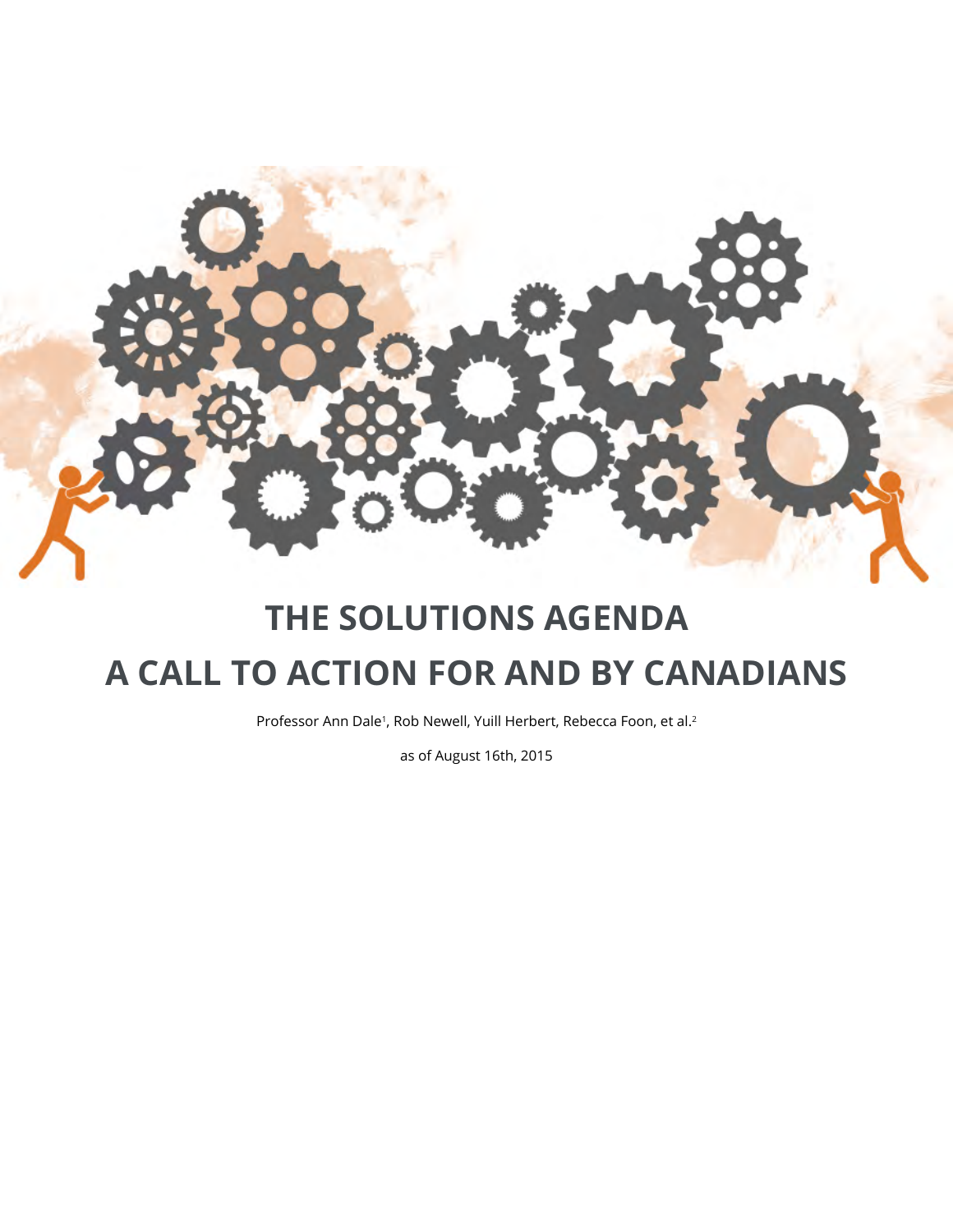

## **THE SOLUTIONS AGENDA A CALL TO ACTION FOR AND BY CANADIANS**

Professor Ann Dale<sup>1</sup>, Rob Newell, Yuill Herbert, Rebecca Foon, et al.<sup>2</sup>

as of August 16th, 2015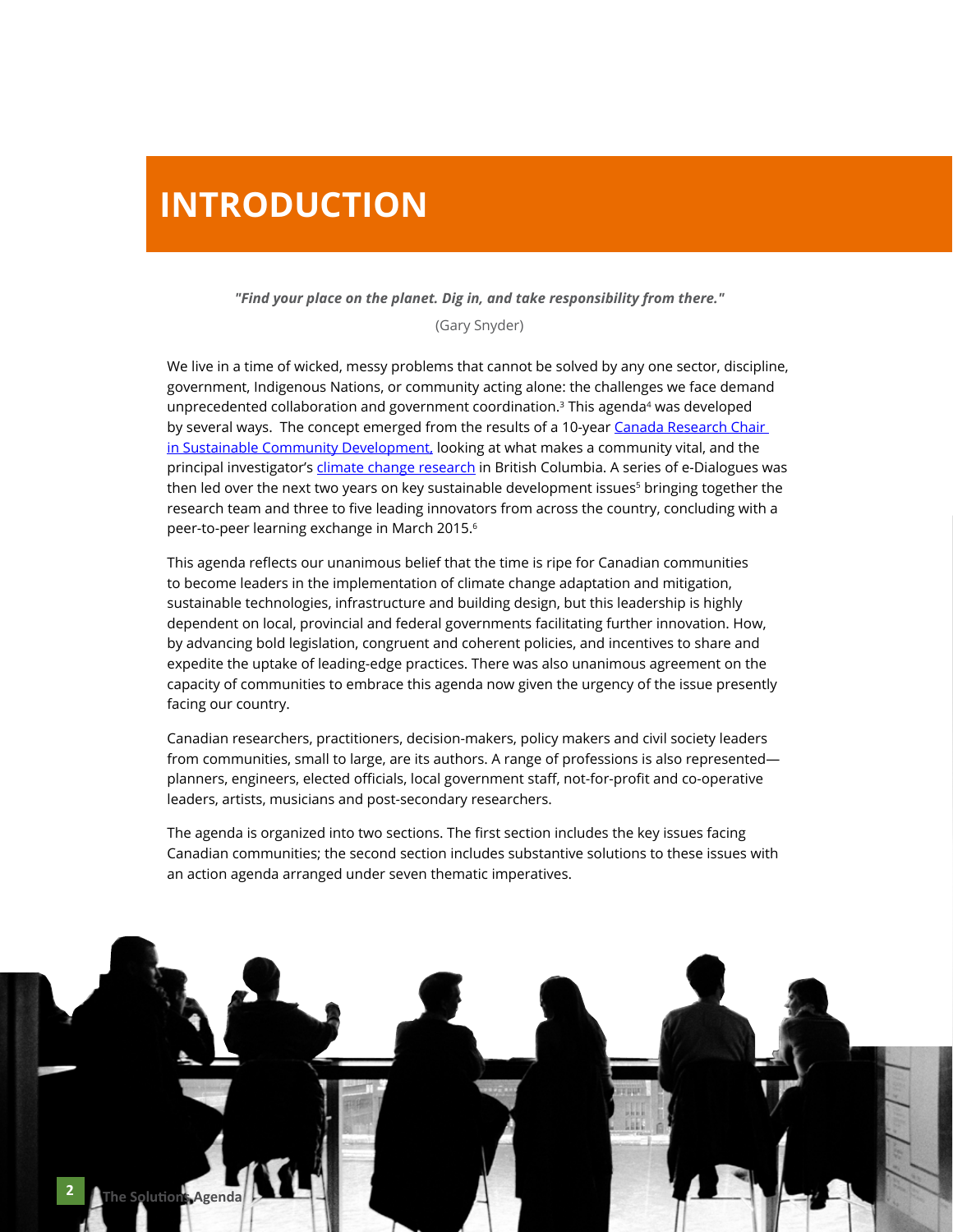#### **INTRODUCTION**

#### *"Find your place on the planet. Dig in, and take responsibility from there."*

(Gary Snyder)

We live in a time of wicked, messy problems that cannot be solved by any one sector, discipline, government, Indigenous Nations, or community acting alone: the challenges we face demand unprecedented collaboration and government coordination. $3$  This agenda<sup>4</sup> was developed by several ways. The concept emerged from the results of a 10-year Canada Research Chair [in Sustainable Community Development,](http://www.crcresearch.org) looking at what makes a community vital, and the principal investigator's [climate change research](http://www.mc-3.ca) in British Columbia. A series of e-Dialogues was then led over the next two years on key sustainable development issues<sup>5</sup> bringing together the research team and three to five leading innovators from across the country, concluding with a peer-to-peer learning exchange in March 2015.6

This agenda reflects our unanimous belief that the time is ripe for Canadian communities to become leaders in the implementation of climate change adaptation and mitigation, sustainable technologies, infrastructure and building design, but this leadership is highly dependent on local, provincial and federal governments facilitating further innovation. How, by advancing bold legislation, congruent and coherent policies, and incentives to share and expedite the uptake of leading-edge practices. There was also unanimous agreement on the capacity of communities to embrace this agenda now given the urgency of the issue presently facing our country.

Canadian researchers, practitioners, decision-makers, policy makers and civil society leaders from communities, small to large, are its authors. A range of professions is also represented planners, engineers, elected officials, local government staff, not-for-profit and co-operative leaders, artists, musicians and post-secondary researchers.

The agenda is organized into two sections. The first section includes the key issues facing Canadian communities; the second section includes substantive solutions to these issues with an action agenda arranged under seven thematic imperatives.

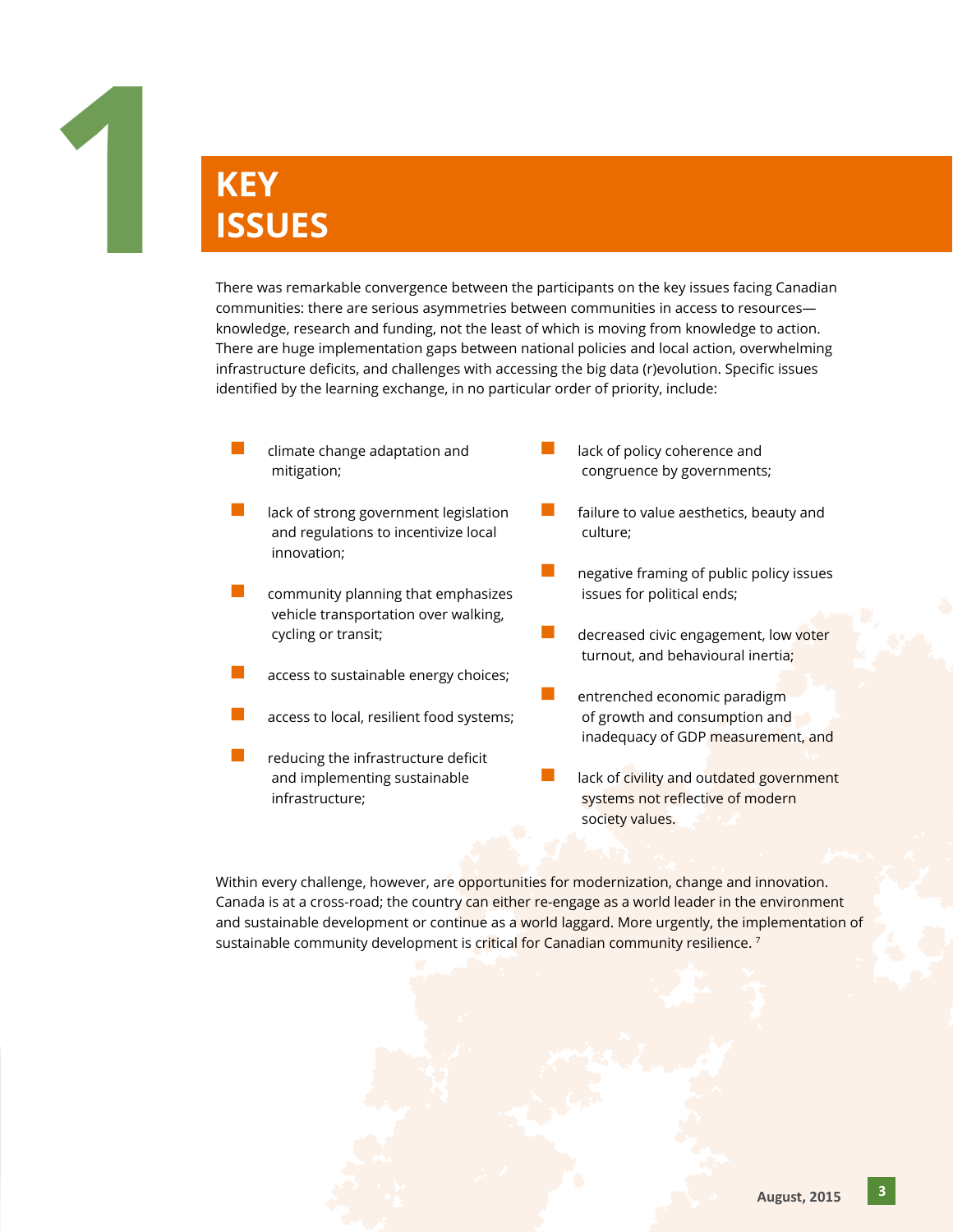

#### **KEY ISSUES**

There was remarkable convergence between the participants on the key issues facing Canadian communities: there are serious asymmetries between communities in access to resources knowledge, research and funding, not the least of which is moving from knowledge to action. There are huge implementation gaps between national policies and local action, overwhelming infrastructure deficits, and challenges with accessing the big data (r)evolution. Specific issues identified by the learning exchange, in no particular order of priority, include:

- climate change adaptation and mitigation;
- lack of strong government legislation and regulations to incentivize local innovation;
- $\blacksquare$  community planning that emphasizes vehicle transportation over walking, cycling or transit;
- access to sustainable energy choices;
- access to local, resilient food systems;
- reducing the infrastructure deficit and implementing sustainable infrastructure;
- lack of policy coherence and congruence by governments;
- $\blacksquare$  failure to value aesthetics, beauty and culture;
- $\Box$  negative framing of public policy issues issues for political ends;
- decreased civic engagement, low voter turnout, and behavioural inertia;
- entrenched economic paradigm of growth and consumption and inadequacy of GDP measurement, and
- lack of civility and outdated government systems not reflective of modern society values.

Within every challenge, however, are opportunities for modernization, change and innovation. Canada is at a cross-road; the country can either re-engage as a world leader in the environment and sustainable development or continue as a world laggard. More urgently, the implementation of sustainable community development is critical for Canadian community resilience.<sup>7</sup>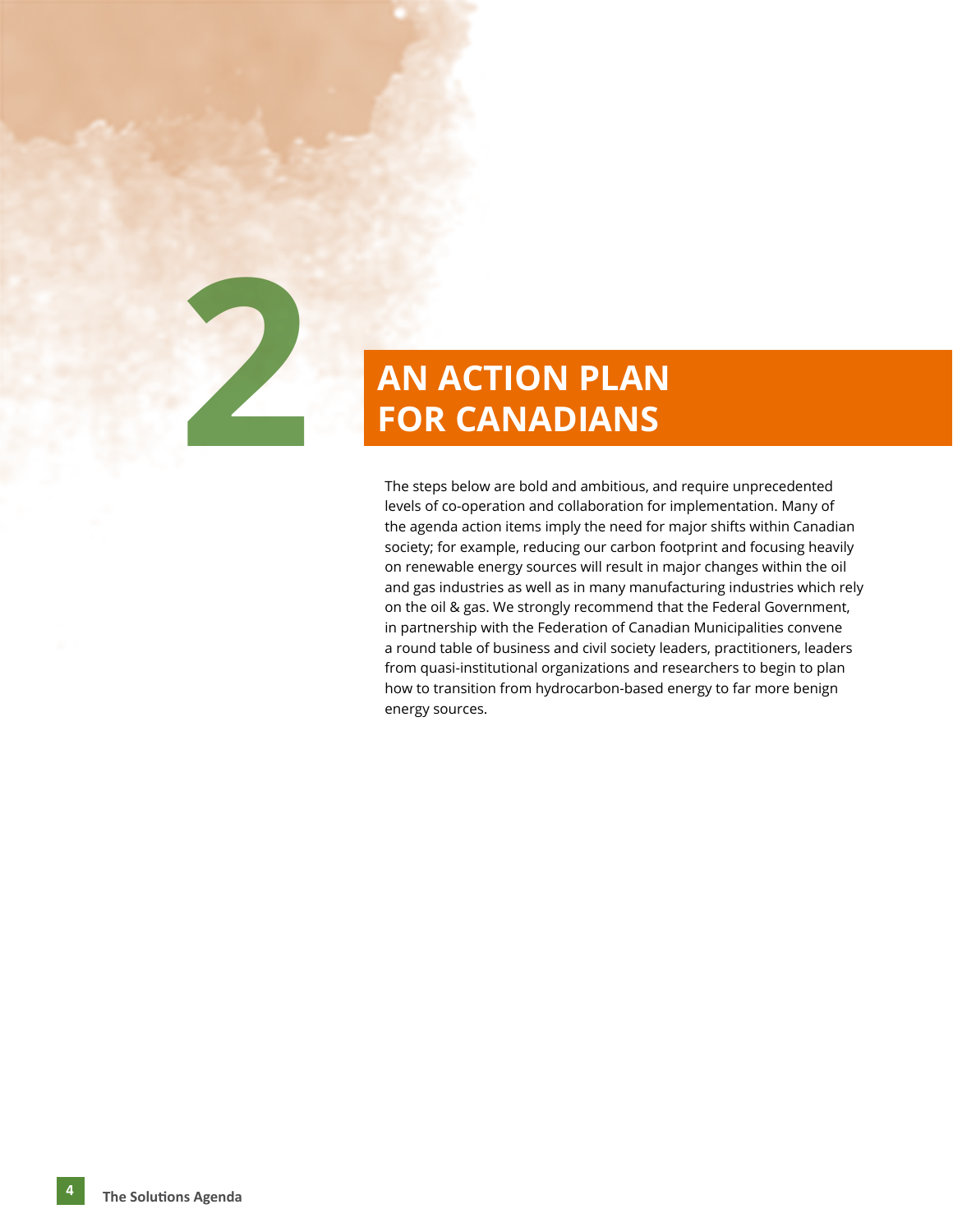

# **FOR CANADIANS**

The steps below are bold and ambitious, and require unprecedented levels of co-operation and collaboration for implementation. Many of the agenda action items imply the need for major shifts within Canadian society; for example, reducing our carbon footprint and focusing heavily on renewable energy sources will result in major changes within the oil and gas industries as well as in many manufacturing industries which rely on the oil & gas. We strongly recommend that the Federal Government, in partnership with the Federation of Canadian Municipalities convene a round table of business and civil society leaders, practitioners, leaders from quasi-institutional organizations and researchers to begin to plan how to transition from hydrocarbon-based energy to far more benign energy sources.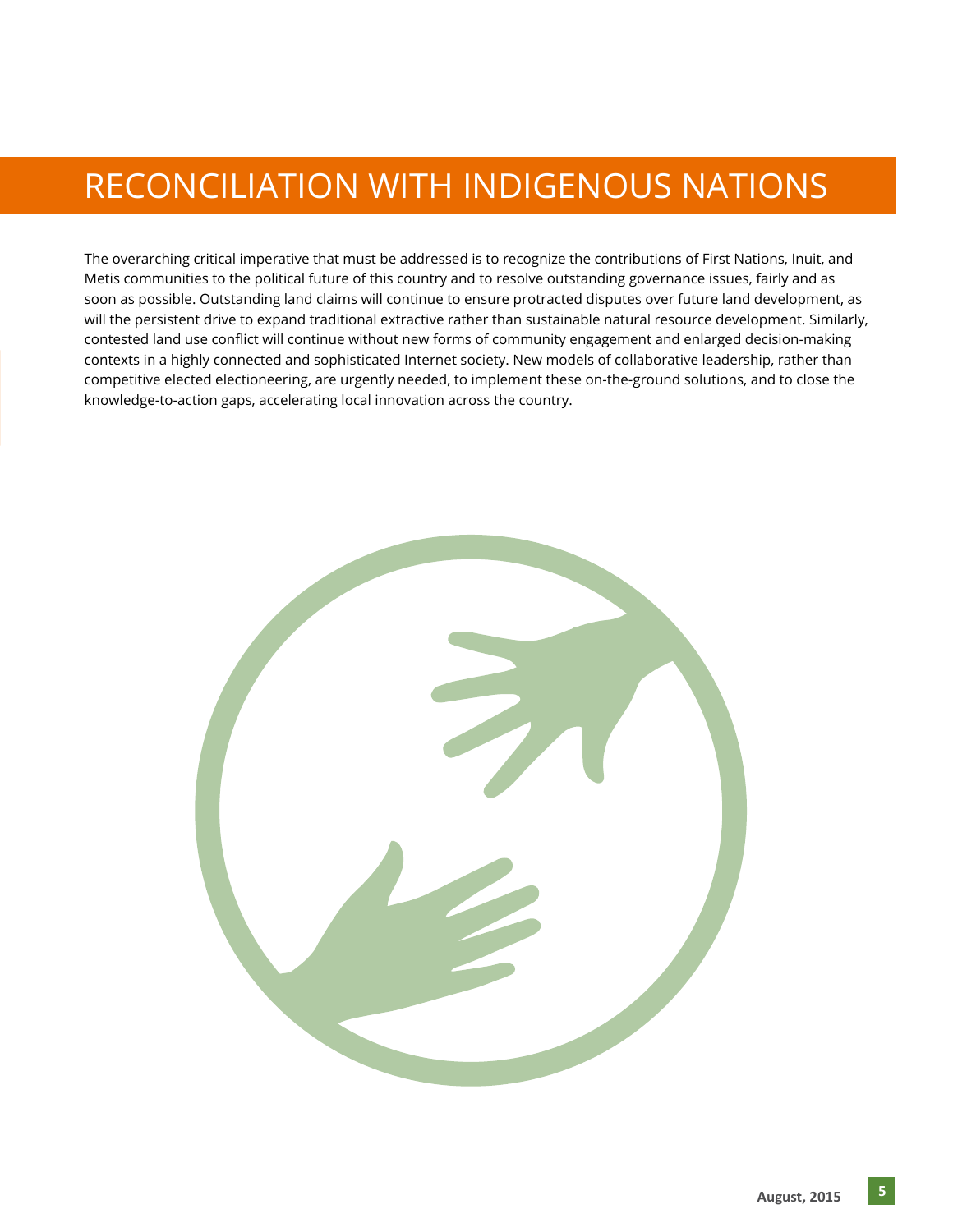#### RECONCILIATION WITH INDIGENOUS NATIONS

The overarching critical imperative that must be addressed is to recognize the contributions of First Nations, Inuit, and Metis communities to the political future of this country and to resolve outstanding governance issues, fairly and as soon as possible. Outstanding land claims will continue to ensure protracted disputes over future land development, as will the persistent drive to expand traditional extractive rather than sustainable natural resource development. Similarly, contested land use conflict will continue without new forms of community engagement and enlarged decision-making contexts in a highly connected and sophisticated Internet society. New models of collaborative leadership, rather than competitive elected electioneering, are urgently needed, to implement these on-the-ground solutions, and to close the knowledge-to-action gaps, accelerating local innovation across the country.

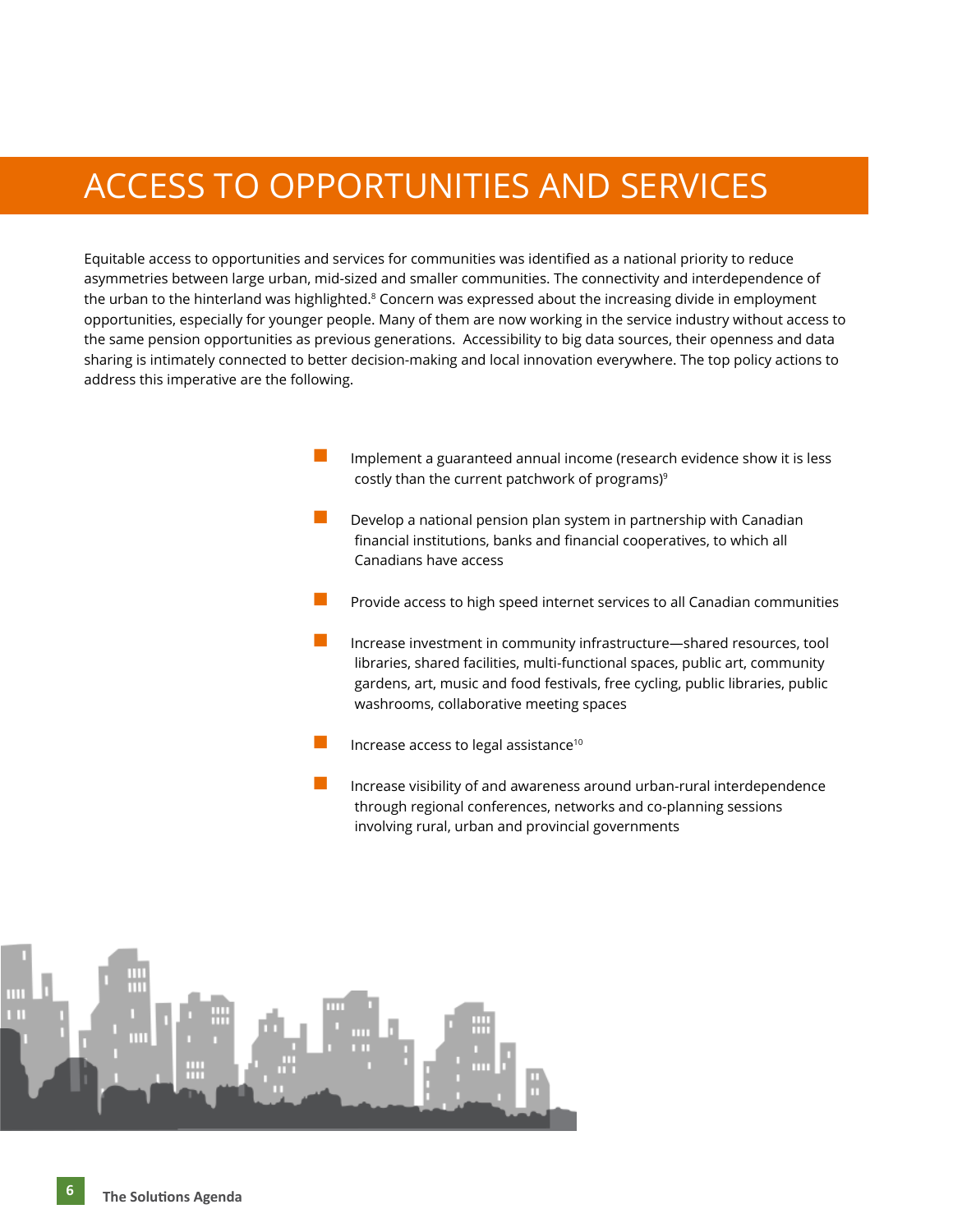#### ACCESS TO OPPORTUNITIES AND SERVICES

Equitable access to opportunities and services for communities was identified as a national priority to reduce asymmetries between large urban, mid-sized and smaller communities. The connectivity and interdependence of the urban to the hinterland was highlighted.<sup>8</sup> Concern was expressed about the increasing divide in employment opportunities, especially for younger people. Many of them are now working in the service industry without access to the same pension opportunities as previous generations. Accessibility to big data sources, their openness and data sharing is intimately connected to better decision-making and local innovation everywhere. The top policy actions to address this imperative are the following.

- Implement a guaranteed annual income (research evidence show it is less costly than the current patchwork of programs)<sup>9</sup>
- Develop a national pension plan system in partnership with Canadian financial institutions, banks and financial cooperatives, to which all Canadians have access
- n Provide access to high speed internet services to all Canadian communities
- Increase investment in community infrastructure—shared resources, tool libraries, shared facilities, multi-functional spaces, public art, community gardens, art, music and food festivals, free cycling, public libraries, public washrooms, collaborative meeting spaces
- Increase access to legal assistance<sup>10</sup>
- Increase visibility of and awareness around urban-rural interdependence through regional conferences, networks and co-planning sessions involving rural, urban and provincial governments

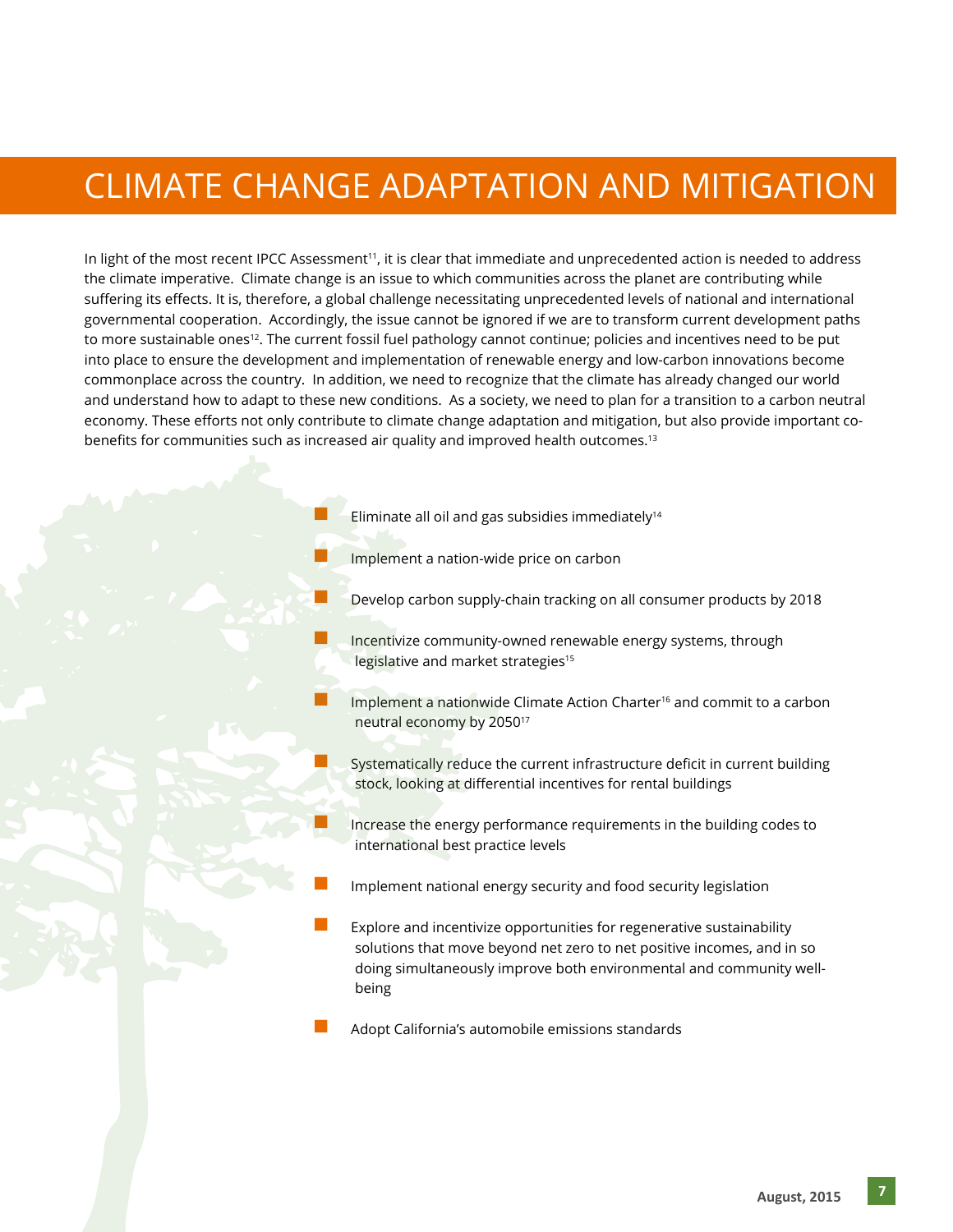#### CLIMATE CHANGE ADAPTATION AND MITIGATION

In light of the most recent IPCC Assessment<sup>11</sup>, it is clear that immediate and unprecedented action is needed to address the climate imperative. Climate change is an issue to which communities across the planet are contributing while suffering its effects. It is, therefore, a global challenge necessitating unprecedented levels of national and international governmental cooperation. Accordingly, the issue cannot be ignored if we are to transform current development paths to more sustainable ones<sup>12</sup>. The current fossil fuel pathology cannot continue; policies and incentives need to be put into place to ensure the development and implementation of renewable energy and low-carbon innovations become commonplace across the country. In addition, we need to recognize that the climate has already changed our world and understand how to adapt to these new conditions. As a society, we need to plan for a transition to a carbon neutral economy. These efforts not only contribute to climate change adaptation and mitigation, but also provide important cobenefits for communities such as increased air quality and improved health outcomes.<sup>13</sup>

- Eliminate all oil and gas subsidies immediately $14$
- Implement a nation-wide price on carbon
- Develop carbon supply-chain tracking on all consumer products by 2018
- Incentivize community-owned renewable energy systems, through legislative and market strategies<sup>15</sup>
- Implement a nationwide Climate Action Charter<sup>16</sup> and commit to a carbon neutral economy by 205017
- Systematically reduce the current infrastructure deficit in current building stock, looking at differential incentives for rental buildings
- Increase the energy performance requirements in the building codes to international best practice levels
- Implement national energy security and food security legislation
- Explore and incentivize opportunities for regenerative sustainability solutions that move beyond net zero to net positive incomes, and in so doing simultaneously improve both environmental and community wellbeing
- Adopt California's automobile emissions standards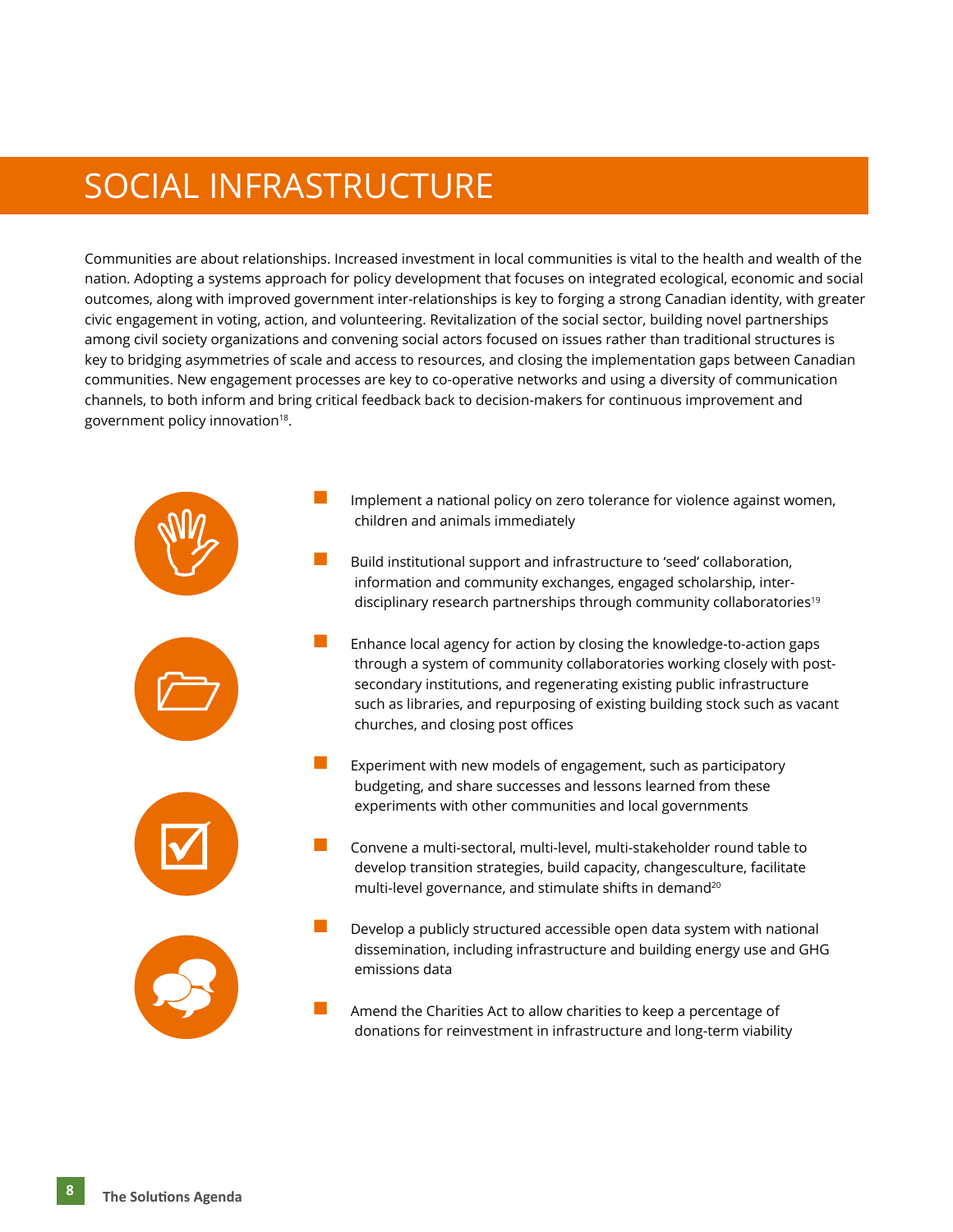#### SOCIAL INFRASTRUCTURE

Communities are about relationships. Increased investment in local communities is vital to the health and wealth of the nation. Adopting a systems approach for policy development that focuses on integrated ecological, economic and social outcomes, along with improved government inter-relationships is key to forging a strong Canadian identity, with greater civic engagement in voting, action, and volunteering. Revitalization of the social sector, building novel partnerships among civil society organizations and convening social actors focused on issues rather than traditional structures is key to bridging asymmetries of scale and access to resources, and closing the implementation gaps between Canadian communities. New engagement processes are key to co-operative networks and using a diversity of communication channels, to both inform and bring critical feedback back to decision-makers for continuous improvement and government policy innovation<sup>18</sup>.

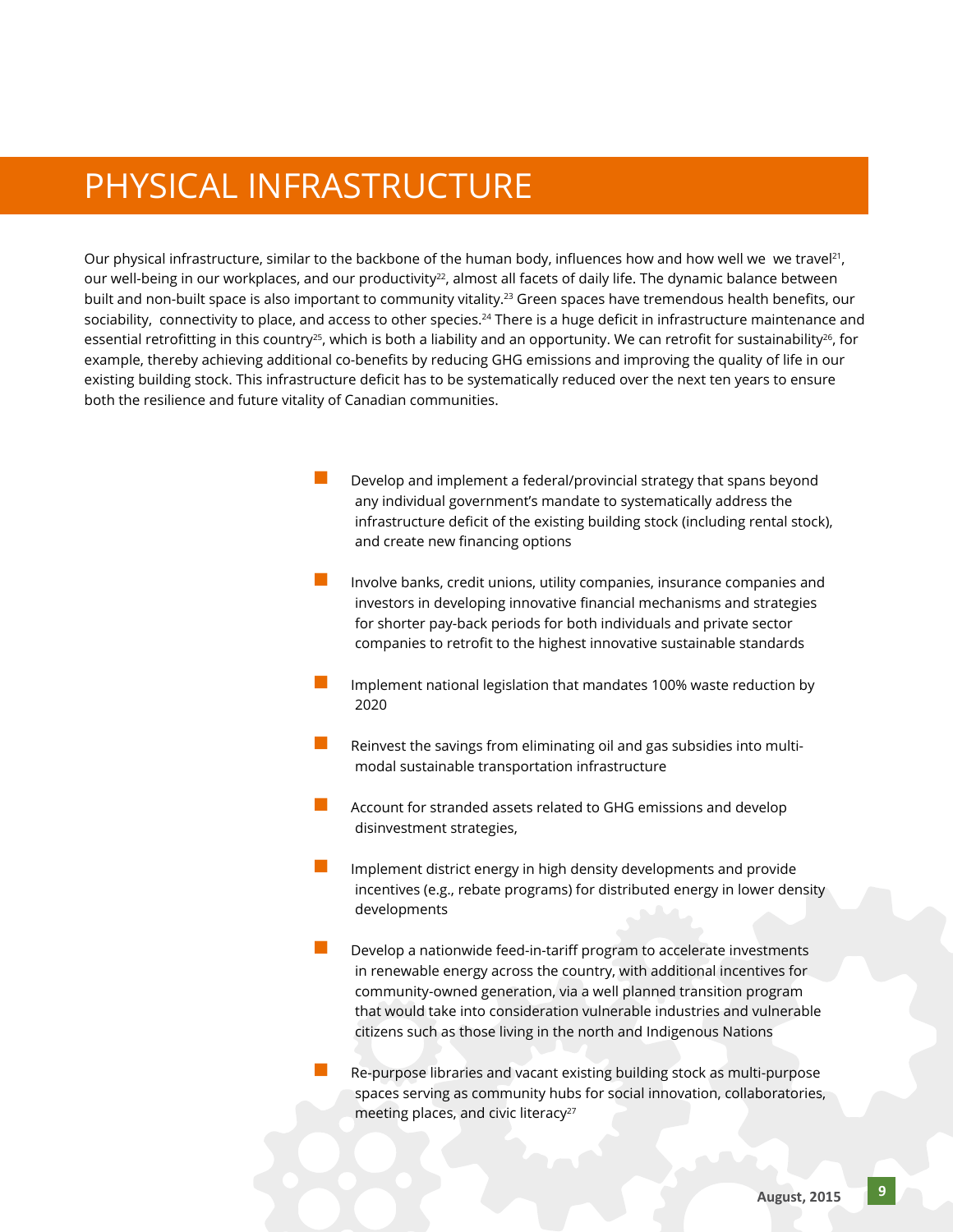#### PHYSICAL INFRASTRUCTURE

Our physical infrastructure, similar to the backbone of the human body, influences how and how well we we travel<sup>21</sup>, our well-being in our workplaces, and our productivity<sup>22</sup>, almost all facets of daily life. The dynamic balance between built and non-built space is also important to community vitality.<sup>23</sup> Green spaces have tremendous health benefits, our sociability, connectivity to place, and access to other species.<sup>24</sup> There is a huge deficit in infrastructure maintenance and essential retrofitting in this country<sup>25</sup>, which is both a liability and an opportunity. We can retrofit for sustainability<sup>26</sup>, for example, thereby achieving additional co-benefits by reducing GHG emissions and improving the quality of life in our existing building stock. This infrastructure deficit has to be systematically reduced over the next ten years to ensure both the resilience and future vitality of Canadian communities.

- Develop and implement a federal/provincial strategy that spans beyond any individual government's mandate to systematically address the infrastructure deficit of the existing building stock (including rental stock), and create new financing options
- Involve banks, credit unions, utility companies, insurance companies and investors in developing innovative financial mechanisms and strategies for shorter pay-back periods for both individuals and private sector companies to retrofit to the highest innovative sustainable standards
- Implement national legislation that mandates 100% waste reduction by 2020
- n Reinvest the savings from eliminating oil and gas subsidies into multimodal sustainable transportation infrastructure
- Account for stranded assets related to GHG emissions and develop disinvestment strategies,
- Implement district energy in high density developments and provide incentives (e.g., rebate programs) for distributed energy in lower density developments
- Develop a nationwide feed-in-tariff program to accelerate investments in renewable energy across the country, with additional incentives for community-owned generation, via a well planned transition program that would take into consideration vulnerable industries and vulnerable citizens such as those living in the north and Indigenous Nations

Re-purpose libraries and vacant existing building stock as multi-purpose spaces serving as community hubs for social innovation, collaboratories, meeting places, and civic literacy<sup>27</sup>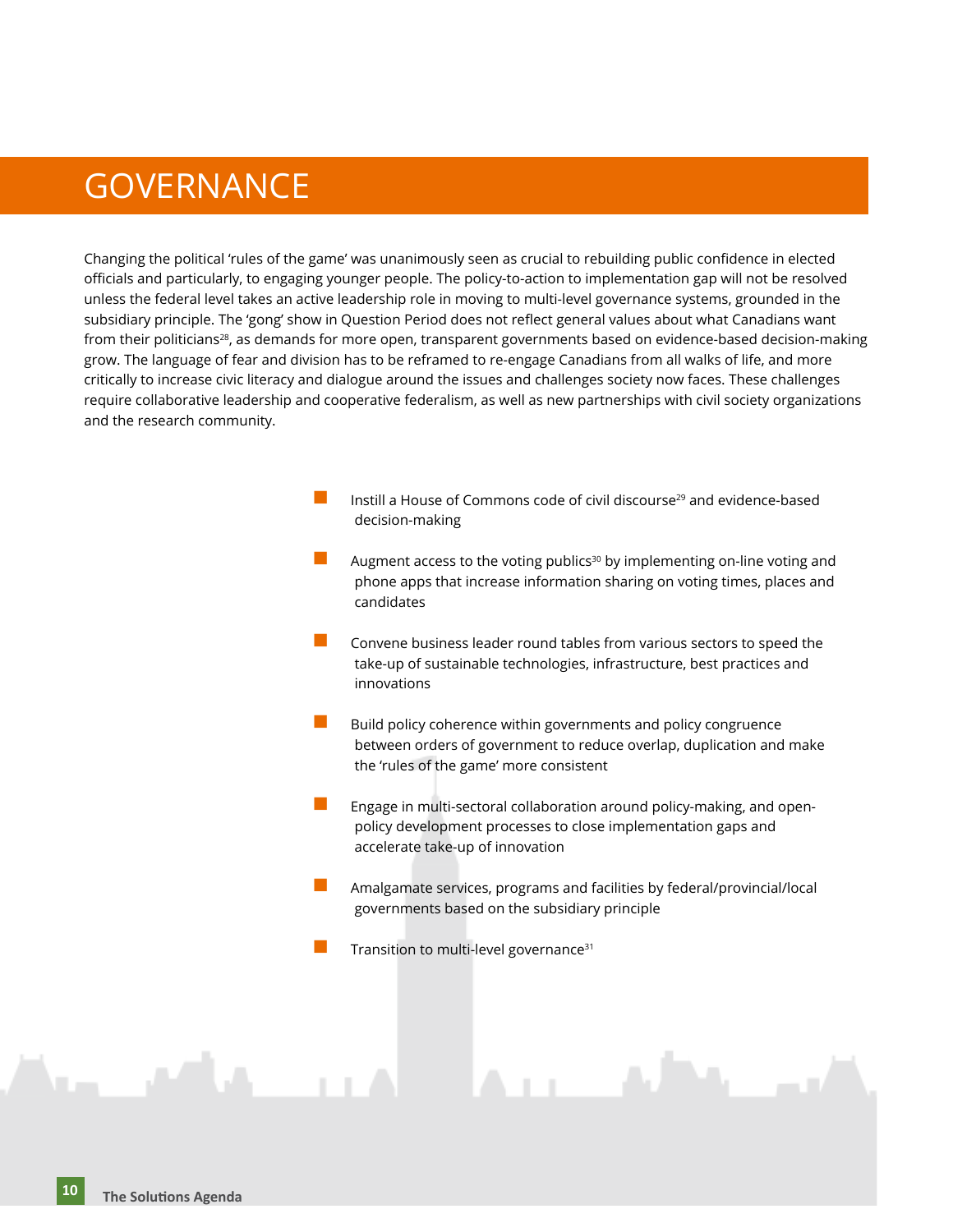#### **GOVERNANCE**

Changing the political 'rules of the game' was unanimously seen as crucial to rebuilding public confidence in elected officials and particularly, to engaging younger people. The policy-to-action to implementation gap will not be resolved unless the federal level takes an active leadership role in moving to multi-level governance systems, grounded in the subsidiary principle. The 'gong' show in Question Period does not reflect general values about what Canadians want from their politicians<sup>28</sup>, as demands for more open, transparent governments based on evidence-based decision-making grow. The language of fear and division has to be reframed to re-engage Canadians from all walks of life, and more critically to increase civic literacy and dialogue around the issues and challenges society now faces. These challenges require collaborative leadership and cooperative federalism, as well as new partnerships with civil society organizations and the research community.

- Instill a House of Commons code of civil discourse<sup>29</sup> and evidence-based decision-making
- Augment access to the voting publics<sup>30</sup> by implementing on-line voting and phone apps that increase information sharing on voting times, places and candidates
- Convene business leader round tables from various sectors to speed the take-up of sustainable technologies, infrastructure, best practices and innovations
- Build policy coherence within governments and policy congruence between orders of government to reduce overlap, duplication and make the 'rules of the game' more consistent
- n Engage in multi-sectoral collaboration around policy-making, and openpolicy development processes to close implementation gaps and accelerate take-up of innovation
- n Amalgamate services, programs and facilities by federal/provincial/local governments based on the subsidiary principle
- Transition to multi-level governance<sup>31</sup>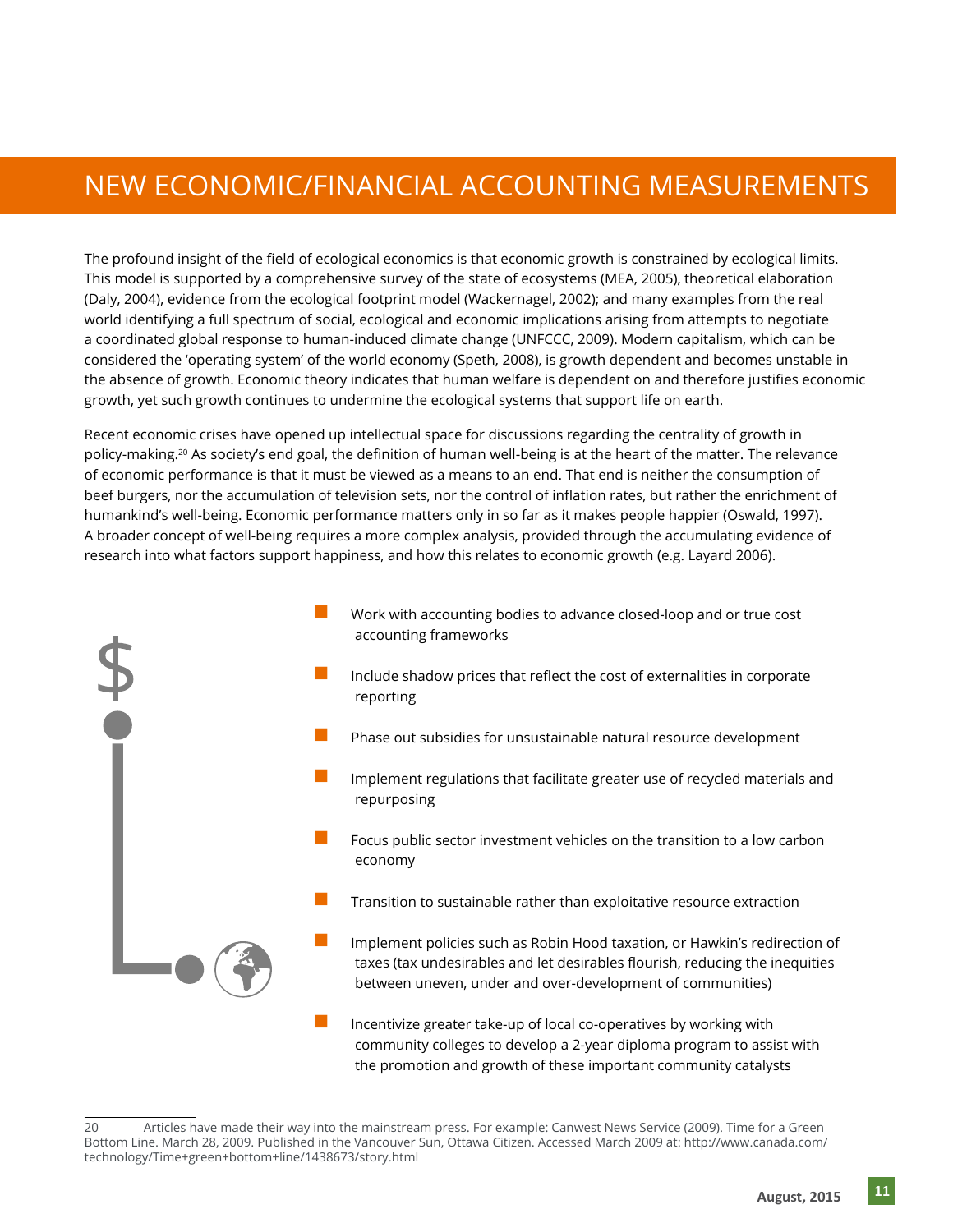#### NEW ECONOMIC/FINANCIAL ACCOUNTING MEASUREMENTS

The profound insight of the field of ecological economics is that economic growth is constrained by ecological limits. This model is supported by a comprehensive survey of the state of ecosystems (MEA, 2005), theoretical elaboration (Daly, 2004), evidence from the ecological footprint model (Wackernagel, 2002); and many examples from the real world identifying a full spectrum of social, ecological and economic implications arising from attempts to negotiate a coordinated global response to human-induced climate change (UNFCCC, 2009). Modern capitalism, which can be considered the 'operating system' of the world economy (Speth, 2008), is growth dependent and becomes unstable in the absence of growth. Economic theory indicates that human welfare is dependent on and therefore justifies economic growth, yet such growth continues to undermine the ecological systems that support life on earth.

Recent economic crises have opened up intellectual space for discussions regarding the centrality of growth in policy-making.<sup>20</sup> As society's end goal, the definition of human well-being is at the heart of the matter. The relevance of economic performance is that it must be viewed as a means to an end. That end is neither the consumption of beef burgers, nor the accumulation of television sets, nor the control of inflation rates, but rather the enrichment of humankind's well-being. Economic performance matters only in so far as it makes people happier (Oswald, 1997). A broader concept of well-being requires a more complex analysis, provided through the accumulating evidence of research into what factors support happiness, and how this relates to economic growth (e.g. Layard 2006).



community colleges to develop a 2-year diploma program to assist with the promotion and growth of these important community catalysts

<sup>20</sup> Articles have made their way into the mainstream press. For example: Canwest News Service (2009). Time for a Green Bottom Line. March 28, 2009. Published in the Vancouver Sun, Ottawa Citizen. Accessed March 2009 at: http://www.canada.com/ technology/Time+green+bottom+line/1438673/story.html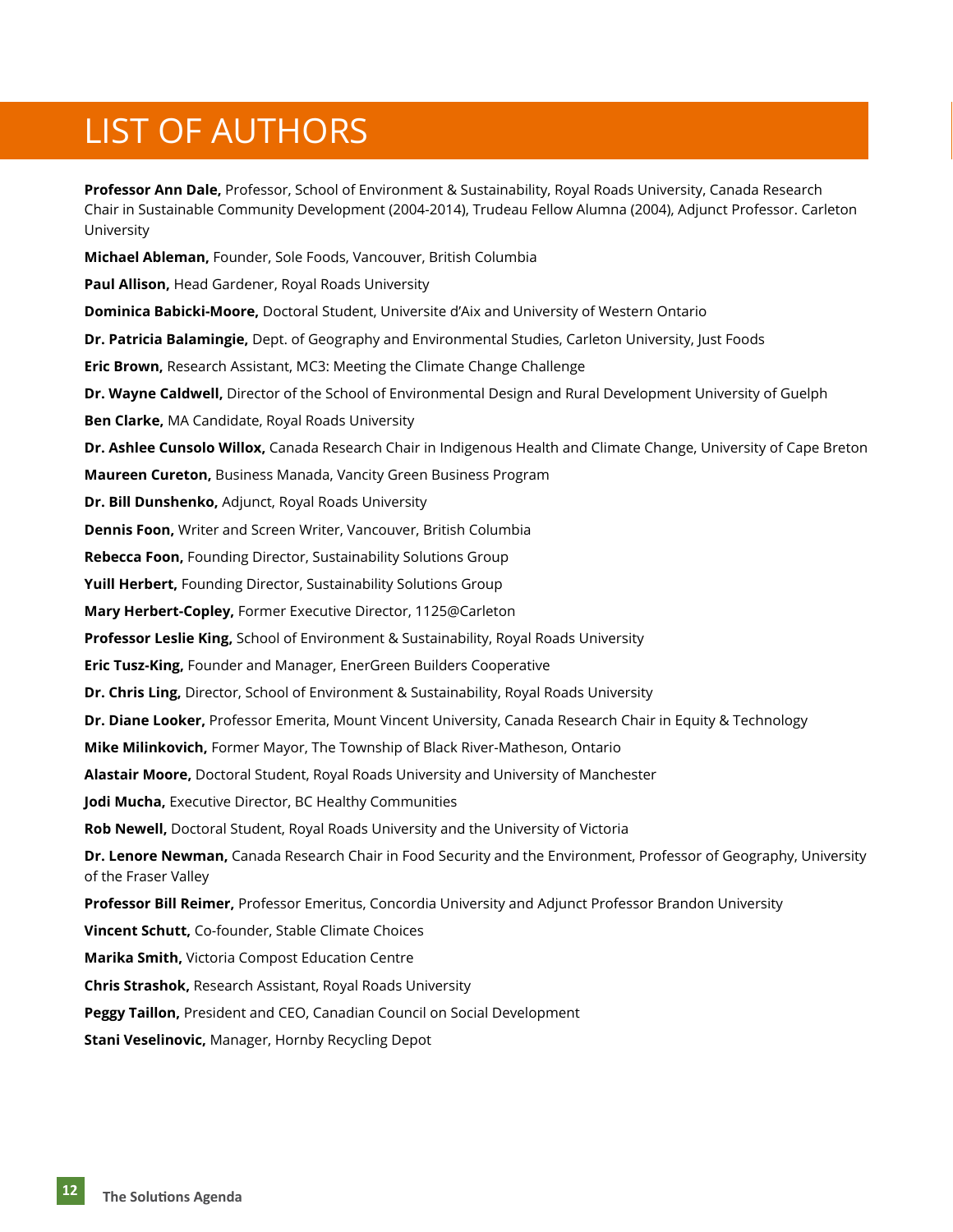### **LIST OF AUTHORS**

**Professor Ann Dale,** Professor, School of Environment & Sustainability, Royal Roads University, Canada Research Chair in Sustainable Community Development (2004-2014), Trudeau Fellow Alumna (2004), Adjunct Professor. Carleton University **Michael Ableman,** Founder, Sole Foods, Vancouver, British Columbia **Paul Allison,** Head Gardener, Royal Roads University **Dominica Babicki-Moore,** Doctoral Student, Universite d'Aix and University of Western Ontario **Dr. Patricia Balamingie,** Dept. of Geography and Environmental Studies, Carleton University, Just Foods **Eric Brown,** Research Assistant, MC3: Meeting the Climate Change Challenge **Dr. Wayne Caldwell,** Director of the School of Environmental Design and Rural Development University of Guelph **Ben Clarke,** MA Candidate, Royal Roads University **Dr. Ashlee Cunsolo Willox,** Canada Research Chair in Indigenous Health and Climate Change, University of Cape Breton **Maureen Cureton,** Business Manada, Vancity Green Business Program **Dr. Bill Dunshenko,** Adjunct, Royal Roads University **Dennis Foon,** Writer and Screen Writer, Vancouver, British Columbia **Rebecca Foon,** Founding Director, Sustainability Solutions Group **Yuill Herbert,** Founding Director, Sustainability Solutions Group **Mary Herbert-Copley,** Former Executive Director, 1125@Carleton **Professor Leslie King,** School of Environment & Sustainability, Royal Roads University **Eric Tusz-King,** Founder and Manager, EnerGreen Builders Cooperative **Dr. Chris Ling,** Director, School of Environment & Sustainability, Royal Roads University **Dr. Diane Looker,** Professor Emerita, Mount Vincent University, Canada Research Chair in Equity & Technology **Mike Milinkovich,** Former Mayor, The Township of Black River-Matheson, Ontario **Alastair Moore,** Doctoral Student, Royal Roads University and University of Manchester **Jodi Mucha,** Executive Director, BC Healthy Communities **Rob Newell,** Doctoral Student, Royal Roads University and the University of Victoria **Dr. Lenore Newman,** Canada Research Chair in Food Security and the Environment, Professor of Geography, University of the Fraser Valley **Professor Bill Reimer,** Professor Emeritus, Concordia University and Adjunct Professor Brandon University **Vincent Schutt,** Co-founder, Stable Climate Choices **Marika Smith,** Victoria Compost Education Centre **Chris Strashok,** Research Assistant, Royal Roads University **Peggy Taillon,** President and CEO, Canadian Council on Social Development

**Stani Veselinovic,** Manager, Hornby Recycling Depot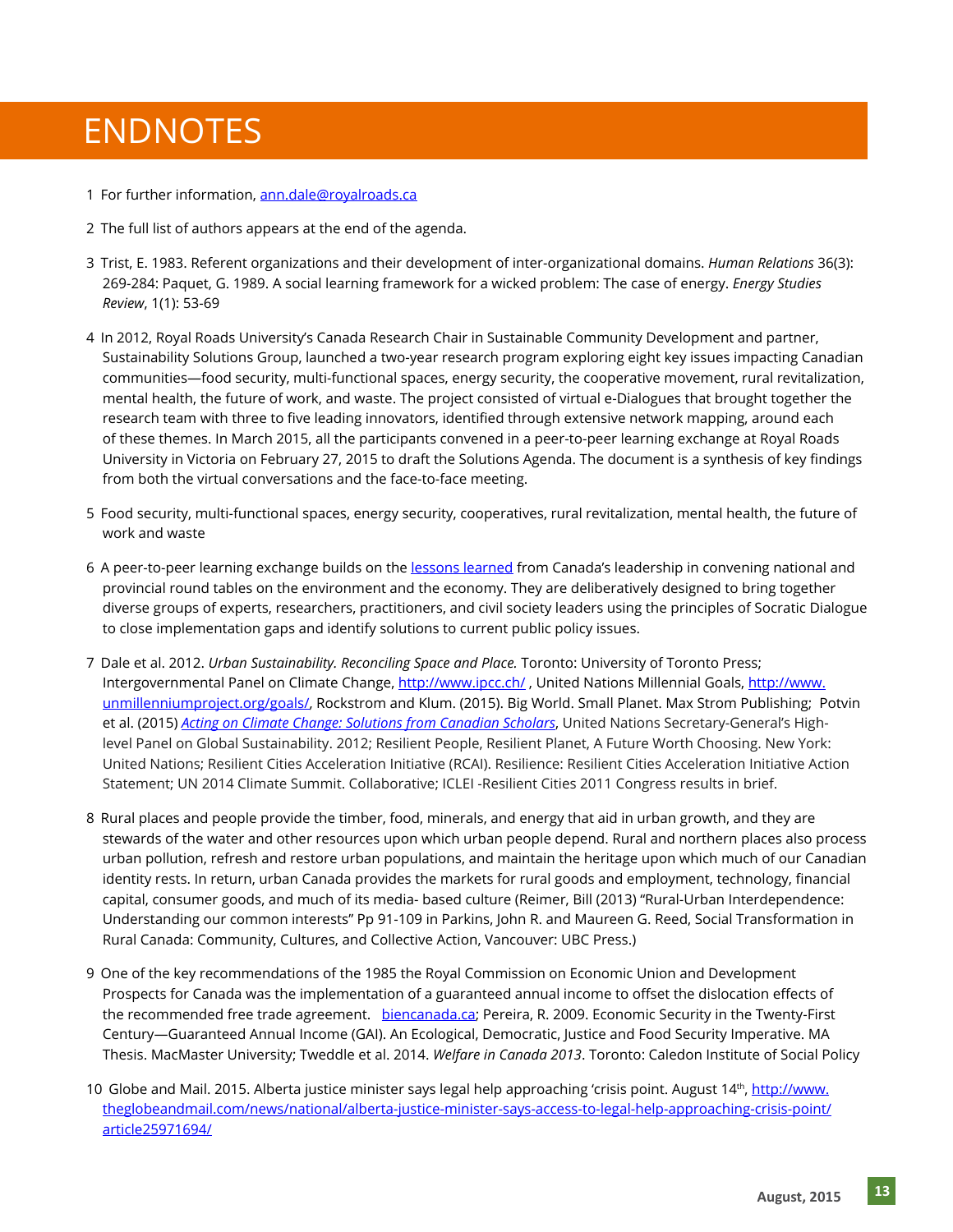#### **ENDNOTES** ENDNOTES

- 1 For further information, [ann.dale@royalroads.ca](mailto:ann.dale@royalroads.ca)
- 2  The full list of authors appears at the end of the agenda.
- 3  Trist, E. 1983. Referent organizations and their development of inter-organizational domains. *Human Relations* 36(3): 269-284: Paquet, G. 1989. A social learning framework for a wicked problem: The case of energy. *Energy Studies Review*, 1(1): 53-69
- 4  In 2012, Royal Roads University's Canada Research Chair in Sustainable Community Development and partner, Sustainability Solutions Group, launched a two-year research program exploring eight key issues impacting Canadian communities—food security, multi-functional spaces, energy security, the cooperative movement, rural revitalization, mental health, the future of work, and waste. The project consisted of virtual e-Dialogues that brought together the research team with three to five leading innovators, identified through extensive network mapping, around each of these themes. In March 2015, all the participants convened in a peer-to-peer learning exchange at Royal Roads University in Victoria on February 27, 2015 to draft the Solutions Agenda. The document is a synthesis of key findings from both the virtual conversations and the face-to-face meeting.
- 5  Food security, multi-functional spaces, energy security, cooperatives, rural revitalization, mental health, the future of work and waste
- 6  A peer-to-peer learning exchange builds on the [lessons learned](http://crcresearch.org/community-research-connections/crc-case-studies/national-round-table-environment-and-economy-nrtee-e) from Canada's leadership in convening national and provincial round tables on the environment and the economy. They are deliberatively designed to bring together diverse groups of experts, researchers, practitioners, and civil society leaders using the principles of Socratic Dialogue to close implementation gaps and identify solutions to current public policy issues.
- 7  Dale et al. 2012. *Urban Sustainability. Reconciling Space and Place.* Toronto: University of Toronto Press; Intergovernmental Panel on Climate Change, [http://www.](http://www.unmillenniumproject.org/goals/)ipcc.ch/, United Nations Millennial Goals, http://www. [unmillenniumproject.org/goals/,](http://www.unmillenniumproject.org/goals/) Rockstrom and Klum. (2015). Big World. Small Planet. Max Strom Publishing; Potvin et al. (2015) *[Acting on Climate Change: Solutions from Canadian Scholars](http://biology.mcgill.ca/unesco/EN_Fullreport.pd)*, United Nations Secretary-General's Highlevel Panel on Global Sustainability. 2012; Resilient People, Resilient Planet, A Future Worth Choosing. New York: United Nations; Resilient Cities Acceleration Initiative (RCAI). Resilience: Resilient Cities Acceleration Initiative Action Statement; UN 2014 Climate Summit. Collaborative; ICLEI -Resilient Cities 2011 Congress results in brief.
- 8  Rural places and people provide the timber, food, minerals, and energy that aid in urban growth, and they are stewards of the water and other resources upon which urban people depend. Rural and northern places also process urban pollution, refresh and restore urban populations, and maintain the heritage upon which much of our Canadian identity rests. In return, urban Canada provides the markets for rural goods and employment, technology, financial capital, consumer goods, and much of its media- based culture (Reimer, Bill (2013) "Rural-Urban Interdependence: Understanding our common interests" Pp 91-109 in Parkins, John R. and Maureen G. Reed, Social Transformation in Rural Canada: Community, Cultures, and Collective Action, Vancouver: UBC Press.)
- 9  One of the key recommendations of the 1985 the Royal Commission on Economic Union and Development Prospects for Canada was the implementation of a guaranteed annual income to offset the dislocation effects of the recommended free trade agreement. [biencanada.ca;](http://www.basicincomecanada.org/) Pereira, R. 2009. Economic Security in the Twenty-First Century—Guaranteed Annual Income (GAI). An Ecological, Democratic, Justice and Food Security Imperative. MA Thesis. MacMaster University; Tweddle et al. 2014. *Welfare in Canada 2013*. Toronto: Caledon Institute of Social Policy
- 10 Globe and Mail. 2015. Alberta justice minister says legal help approaching 'crisis point. August 14<sup>th</sup>, [http://www.](http://www.theglobeandmail.com/news/national/alberta-justice-minister-says-access-to-legal-help-approaching-crisis-point/article25971694/) [theglobeandmail.com/news/national/alberta-justice-minister-says-access-to-legal-help-approaching-crisis-point/](http://www.theglobeandmail.com/news/national/alberta-justice-minister-says-access-to-legal-help-approaching-crisis-point/article25971694/) [article25971694/](http://www.theglobeandmail.com/news/national/alberta-justice-minister-says-access-to-legal-help-approaching-crisis-point/article25971694/)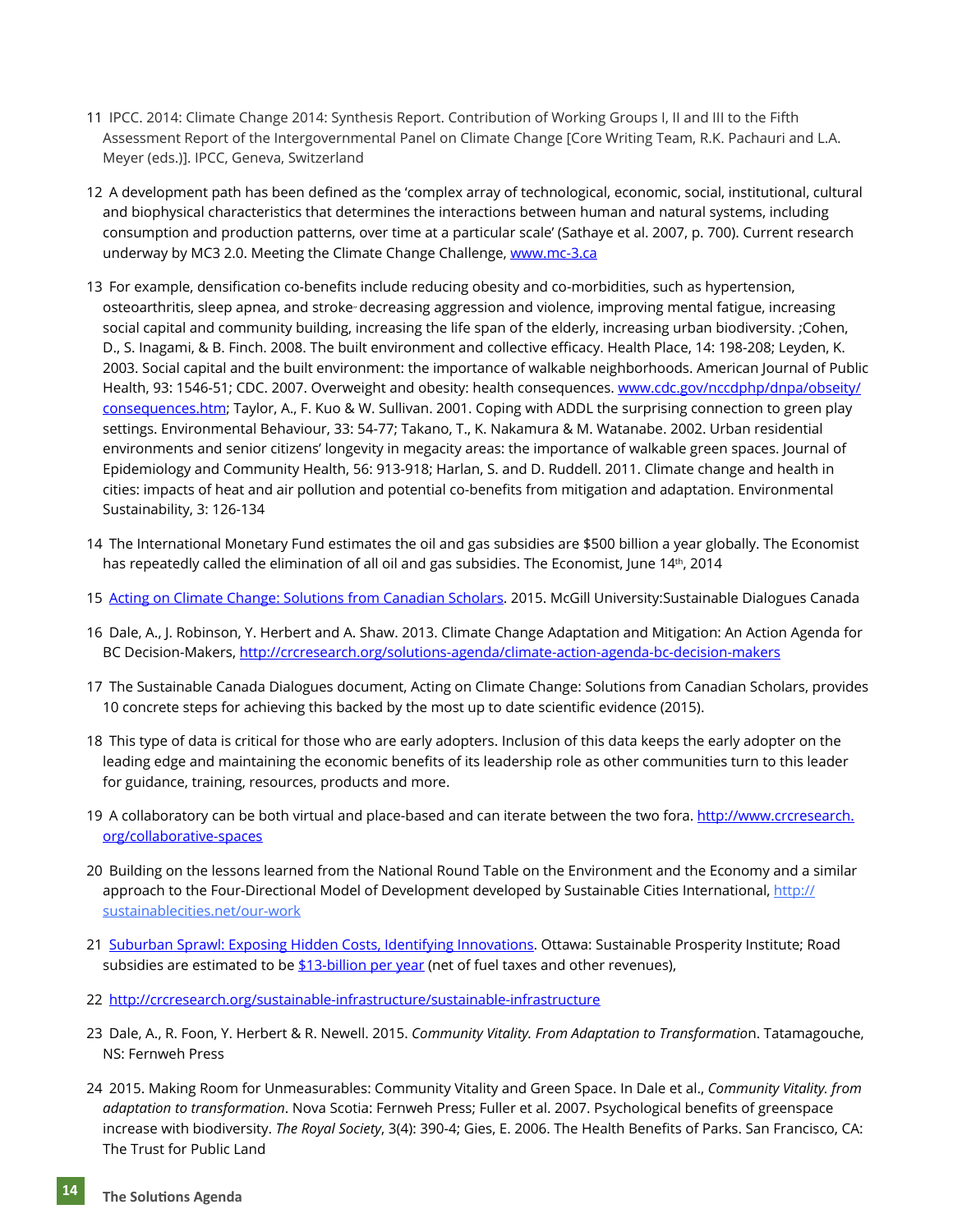- 11  IPCC. 2014: Climate Change 2014: Synthesis Report. Contribution of Working Groups I, II and III to the Fifth Assessment Report of the Intergovernmental Panel on Climate Change [Core Writing Team, R.K. Pachauri and L.A. Meyer (eds.)]. IPCC, Geneva, Switzerland
- 12  A development path has been defined as the 'complex array of technological, economic, social, institutional, cultural and biophysical characteristics that determines the interactions between human and natural systems, including consumption and production patterns, over time at a particular scale' (Sathaye et al. 2007, p. 700). Current research underway by MC3 2.0. Meeting the Climate Change Challenge, [www.mc-3.ca](http://www.mc-3.ca)
- 13  For example, densification co-benefits include reducing obesity and co-morbidities, such as hypertension, osteoarthritis, sleep apnea, and stroke<sup>"</sup> decreasing aggression and violence, improving mental fatigue, increasing social capital and community building, increasing the life span of the elderly, increasing urban biodiversity. ;Cohen, D., S. Inagami, & B. Finch. 2008. The built environment and collective efficacy. Health Place, 14: 198-208; Leyden, K. 2003. Social capital and the built environment: the importance of walkable neighborhoods. American Journal of Public Health, 93: 1546-51; CDC. 2007. Overweight and obesity: health consequences. [www.cdc.gov/nccdphp/dnpa/obseity/](http://www.cdc.gov/nccdphp/dnpa/obseity/consequences.htm) [consequences.htm](http://www.cdc.gov/nccdphp/dnpa/obseity/consequences.htm); Taylor, A., F. Kuo & W. Sullivan. 2001. Coping with ADDL the surprising connection to green play settings. Environmental Behaviour, 33: 54-77; Takano, T., K. Nakamura & M. Watanabe. 2002. Urban residential environments and senior citizens' longevity in megacity areas: the importance of walkable green spaces. Journal of Epidemiology and Community Health, 56: 913-918; Harlan, S. and D. Ruddell. 2011. Climate change and health in cities: impacts of heat and air pollution and potential co-benefits from mitigation and adaptation. Environmental Sustainability, 3: 126-134
- 14  The International Monetary Fund estimates the oil and gas subsidies are \$500 billion a year globally. The Economist has repeatedly called the elimination of all oil and gas subsidies. The Economist, June 14th, 2014
- 15 [Acting on Climate Change: Solutions from Canadian Scholars.](http://biology.mcgill.ca/unesco/EN_Fullreport.pd) 2015. McGill University:Sustainable Dialogues Canada
- 16  Dale, A., J. Robinson, Y. Herbert and A. Shaw. 2013. Climate Change Adaptation and Mitigation: An Action Agenda for BC Decision-Makers, <http://crcresearch.org/solutions-agenda/climate-action-agenda-bc-decision-makers>
- 17  The Sustainable Canada Dialogues document, Acting on Climate Change: Solutions from Canadian Scholars, provides 10 concrete steps for achieving this backed by the most up to date scientific evidence (2015).
- 18  This type of data is critical for those who are early adopters. Inclusion of this data keeps the early adopter on the leading edge and maintaining the economic benefits of its leadership role as other communities turn to this leader for guidance, training, resources, products and more.
- 19 A collaboratory can be both virtual and place-based and can iterate between the two fora. [http://www.crcresearch.](http://www.crcresearch.org/collaborative-spaces) [org/collaborative-spaces](http://www.crcresearch.org/collaborative-spaces)
- 20  Building on the lessons learned from the National Round Table on the Environment and the Economy and a similar approach to the Four-Directional Model of Development developed by Sustainable Cities International, [http://](http://sustainablecities.net/our-work) [sustainablecities.net/our-work](http://sustainablecities.net/our-work)
- 21  [Suburban Sprawl: Exposing Hidden Costs, Identifying Innovations](http://thecostofsprawl.com/report/SP_SuburbanSprawl_Oct2013_opt.pdf). Ottawa: Sustainable Prosperity Institute; Road subsidies are estimated to be [\\$13-billion per year](http://www.theglobeandmail.com/globe-debate/the-true-costs-of-sprawl/article15218154/) (net of fuel taxes and other revenues),
- 22  <http://crcresearch.org/sustainable-infrastructure/sustainable-infrastructure>
- 23  Dale, A., R. Foon, Y. Herbert & R. Newell. 2015. *Community Vitality. From Adaptation to Transformatio*n. Tatamagouche, NS: Fernweh Press
- 24  2015. Making Room for Unmeasurables: Community Vitality and Green Space. In Dale et al., *Community Vitality. from adaptation to transformation*. Nova Scotia: Fernweh Press; Fuller et al. 2007. Psychological benefits of greenspace increase with biodiversity. *The Royal Society*, 3(4): 390-4; Gies, E. 2006. The Health Benefits of Parks. San Francisco, CA: The Trust for Public Land